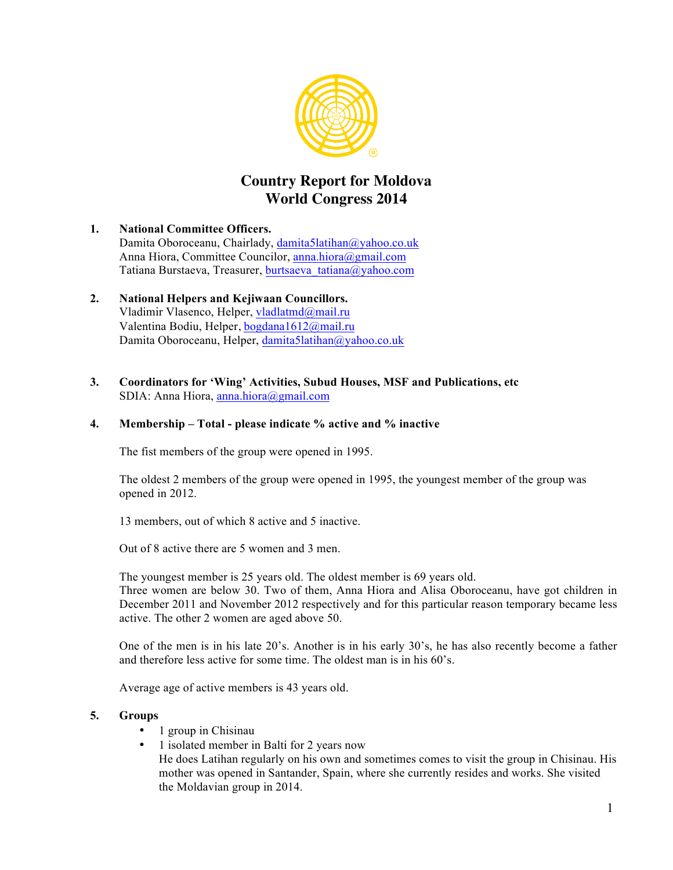

# **Country Report for Moldova World Congress 2014**

# **1. National Committee Officers.**  Damita Oboroceanu, Chairlady, damita5latihan@yahoo.co.uk Anna Hiora, Committee Councilor, anna.hiora@gmail.com Tatiana Burstaeva, Treasurer, burtsaeva\_tatiana@yahoo.com

# **2. National Helpers and Kejiwaan Councillors.**  Vladimir Vlasenco, Helper, vladlatmd@mail.ru Valentina Bodiu, Helper, bogdana1612@mail.ru Damita Oboroceanu, Helper, damita5latihan@yahoo.co.uk

#### **3. Coordinators for 'Wing' Activities, Subud Houses, MSF and Publications, etc** SDIA: Anna Hiora, anna.hiora@gmail.com

# **4. Membership – Total - please indicate % active and % inactive**

The fist members of the group were opened in 1995.

The oldest 2 members of the group were opened in 1995, the youngest member of the group was opened in 2012.

13 members, out of which 8 active and 5 inactive.

Out of 8 active there are 5 women and 3 men.

The youngest member is 25 years old. The oldest member is 69 years old. Three women are below 30. Two of them, Anna Hiora and Alisa Oboroceanu, have got children in December 2011 and November 2012 respectively and for this particular reason temporary became less active. The other 2 women are aged above 50.

One of the men is in his late 20's. Another is in his early 30's, he has also recently become a father and therefore less active for some time. The oldest man is in his 60's.

Average age of active members is 43 years old.

#### **5. Groups**

- 1 group in Chisinau
- 1 isolated member in Balti for 2 years now He does Latihan regularly on his own and sometimes comes to visit the group in Chisinau. His mother was opened in Santander, Spain, where she currently resides and works. She visited the Moldavian group in 2014.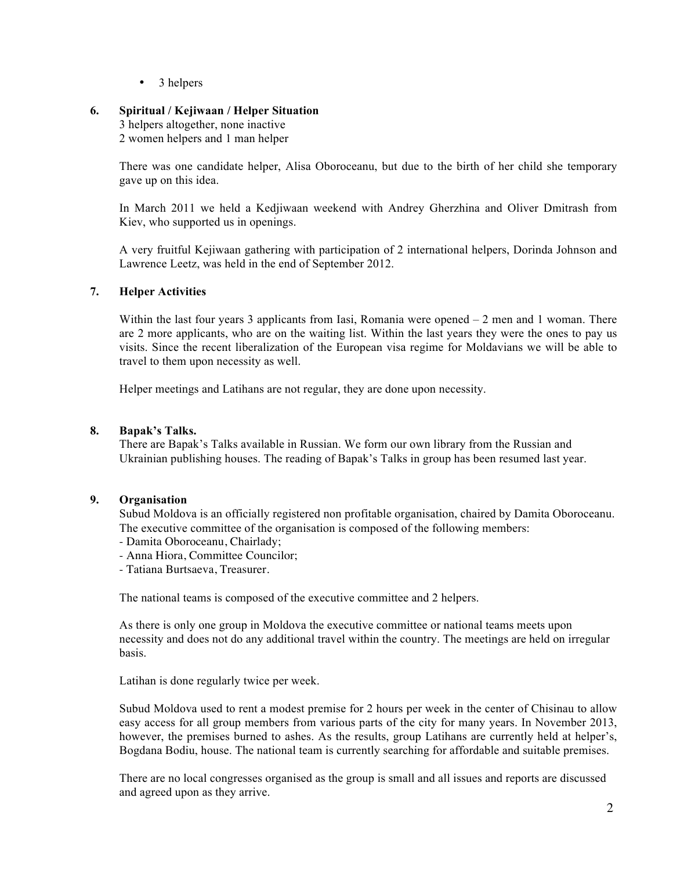• 3 helpers

# **6. Spiritual / Kejiwaan / Helper Situation**

3 helpers altogether, none inactive 2 women helpers and 1 man helper

There was one candidate helper, Alisa Oboroceanu, but due to the birth of her child she temporary gave up on this idea.

In March 2011 we held a Kedjiwaan weekend with Andrey Gherzhina and Oliver Dmitrash from Kiev, who supported us in openings.

A very fruitful Kejiwaan gathering with participation of 2 international helpers, Dorinda Johnson and Lawrence Leetz, was held in the end of September 2012.

# **7. Helper Activities**

Within the last four years 3 applicants from Iasi, Romania were opened  $-2$  men and 1 woman. There are 2 more applicants, who are on the waiting list. Within the last years they were the ones to pay us visits. Since the recent liberalization of the European visa regime for Moldavians we will be able to travel to them upon necessity as well.

Helper meetings and Latihans are not regular, they are done upon necessity.

#### **8. Bapak's Talks.**

There are Bapak's Talks available in Russian. We form our own library from the Russian and Ukrainian publishing houses. The reading of Bapak's Talks in group has been resumed last year.

#### **9. Organisation**

Subud Moldova is an officially registered non profitable organisation, chaired by Damita Oboroceanu. The executive committee of the organisation is composed of the following members:

- Damita Oboroceanu, Chairlady;
- Anna Hiora, Committee Councilor;
- Tatiana Burtsaeva, Treasurer.

The national teams is composed of the executive committee and 2 helpers.

As there is only one group in Moldova the executive committee or national teams meets upon necessity and does not do any additional travel within the country. The meetings are held on irregular basis.

Latihan is done regularly twice per week.

Subud Moldova used to rent a modest premise for 2 hours per week in the center of Chisinau to allow easy access for all group members from various parts of the city for many years. In November 2013, however, the premises burned to ashes. As the results, group Latihans are currently held at helper's, Bogdana Bodiu, house. The national team is currently searching for affordable and suitable premises.

There are no local congresses organised as the group is small and all issues and reports are discussed and agreed upon as they arrive.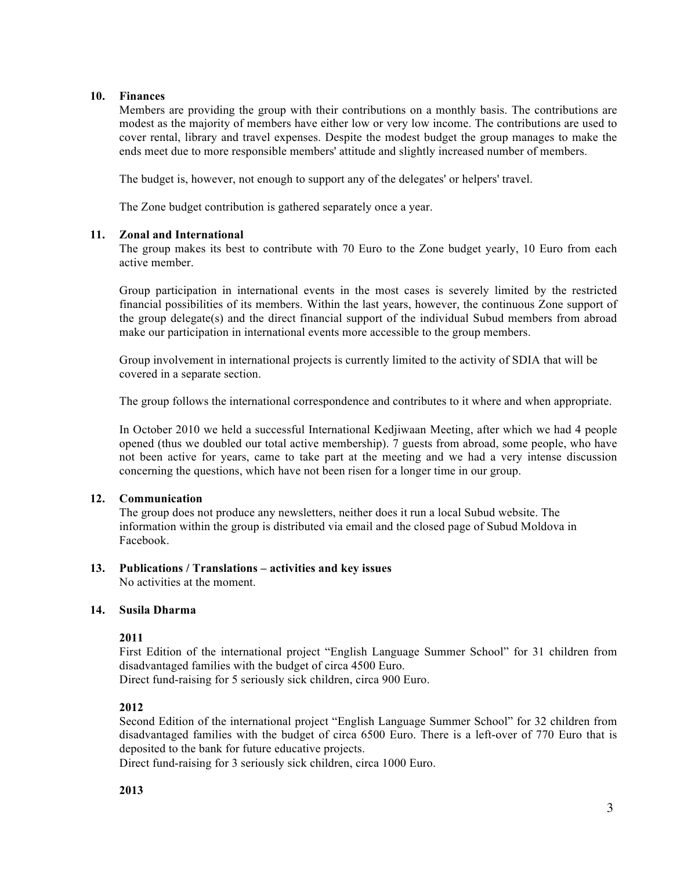#### **10. Finances**

Members are providing the group with their contributions on a monthly basis. The contributions are modest as the majority of members have either low or very low income. The contributions are used to cover rental, library and travel expenses. Despite the modest budget the group manages to make the ends meet due to more responsible members' attitude and slightly increased number of members.

The budget is, however, not enough to support any of the delegates' or helpers' travel.

The Zone budget contribution is gathered separately once a year.

# **11. Zonal and International**

The group makes its best to contribute with 70 Euro to the Zone budget yearly, 10 Euro from each active member.

Group participation in international events in the most cases is severely limited by the restricted financial possibilities of its members. Within the last years, however, the continuous Zone support of the group delegate(s) and the direct financial support of the individual Subud members from abroad make our participation in international events more accessible to the group members.

Group involvement in international projects is currently limited to the activity of SDIA that will be covered in a separate section.

The group follows the international correspondence and contributes to it where and when appropriate.

In October 2010 we held a successful International Kedjiwaan Meeting, after which we had 4 people opened (thus we doubled our total active membership). 7 guests from abroad, some people, who have not been active for years, came to take part at the meeting and we had a very intense discussion concerning the questions, which have not been risen for a longer time in our group.

# **12. Communication**

The group does not produce any newsletters, neither does it run a local Subud website. The information within the group is distributed via email and the closed page of Subud Moldova in Facebook.

# **13. Publications / Translations – activities and key issues**

No activities at the moment.

# **14. Susila Dharma**

#### **2011**

First Edition of the international project "English Language Summer School" for 31 children from disadvantaged families with the budget of circa 4500 Euro.

Direct fund-raising for 5 seriously sick children, circa 900 Euro.

# **2012**

Second Edition of the international project "English Language Summer School" for 32 children from disadvantaged families with the budget of circa 6500 Euro. There is a left-over of 770 Euro that is deposited to the bank for future educative projects.

Direct fund-raising for 3 seriously sick children, circa 1000 Euro.